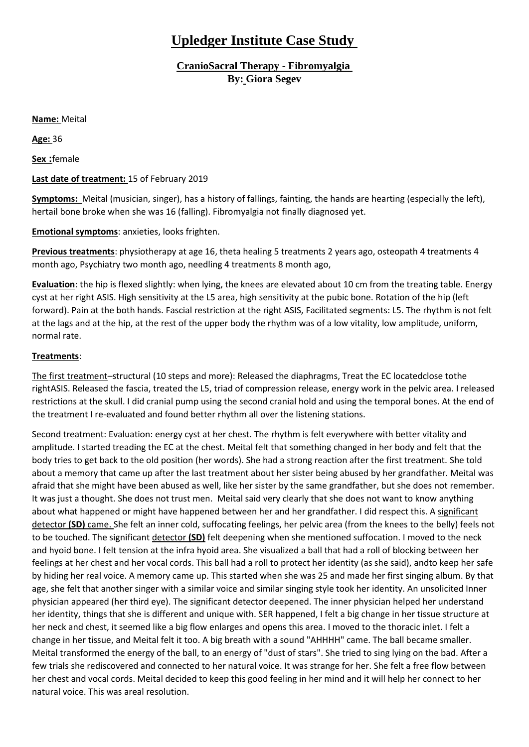## **Upledger Institute Case Study**

**CranioSacral Therapy - Fibromyalgia By: Giora Segev**

**Name:** Meital

**Age:** 36

**Sex :**female

## **Last date of treatment:** 15 of February 2019

**Symptoms:** Meital (musician, singer), has a history of fallings, fainting, the hands are hearting (especially the left), hertail bone broke when she was 16 (falling). Fibromyalgia not finally diagnosed yet.

## **Emotional symptoms**: anxieties, looks frighten.

**Previous treatments**: physiotherapy at age 16, theta healing 5 treatments 2 years ago, osteopath 4 treatments 4 month ago, Psychiatry two month ago, needling 4 treatments 8 month ago,

**Evaluation**: the hip is flexed slightly: when lying, the knees are elevated about 10 cm from the treating table. Energy cyst at her right ASIS. High sensitivity at the L5 area, high sensitivity at the pubic bone. Rotation of the hip (left forward). Pain at the both hands. Fascial restriction at the right ASIS, Facilitated segments: L5. The rhythm is not felt at the lags and at the hip, at the rest of the upper body the rhythm was of a low vitality, low amplitude, uniform, normal rate.

## **Treatments**:

The first treatment–structural (10 steps and more): Released the diaphragms, Treat the EC locatedclose tothe rightASIS. Released the fascia, treated the L5, triad of compression release, energy work in the pelvic area. I released restrictions at the skull. I did cranial pump using the second cranial hold and using the temporal bones. At the end of the treatment I re-evaluated and found better rhythm all over the listening stations.

Second treatment: Evaluation: energy cyst at her chest. The rhythm is felt everywhere with better vitality and amplitude. I started treading the EC at the chest. Meital felt that something changed in her body and felt that the body tries to get back to the old position (her words). She had a strong reaction after the first treatment. She told about a memory that came up after the last treatment about her sister being abused by her grandfather. Meital was afraid that she might have been abused as well, like her sister by the same grandfather, but she does not remember. It was just a thought. She does not trust men. Meital said very clearly that she does not want to know anything about what happened or might have happened between her and her grandfather. I did respect this. A significant detector **(SD)** came. She felt an inner cold, suffocating feelings, her pelvic area (from the knees to the belly) feels not to be touched. The significant detector **(SD)** felt deepening when she mentioned suffocation. I moved to the neck and hyoid bone. I felt tension at the infra hyoid area. She visualized a ball that had a roll of blocking between her feelings at her chest and her vocal cords. This ball had a roll to protect her identity (as she said), andto keep her safe by hiding her real voice. A memory came up. This started when she was 25 and made her first singing album. By that age, she felt that another singer with a similar voice and similar singing style took her identity. An unsolicited Inner physician appeared (her third eye). The significant detector deepened. The inner physician helped her understand her identity, things that she is different and unique with. SER happened, I felt a big change in her tissue structure at her neck and chest, it seemed like a big flow enlarges and opens this area. I moved to the thoracic inlet. I felt a change in her tissue, and Meital felt it too. A big breath with a sound "AHHHH" came. The ball became smaller. Meital transformed the energy of the ball, to an energy of "dust of stars". She tried to sing lying on the bad. After a few trials she rediscovered and connected to her natural voice. It was strange for her. She felt a free flow between her chest and vocal cords. Meital decided to keep this good feeling in her mind and it will help her connect to her natural voice. This was areal resolution.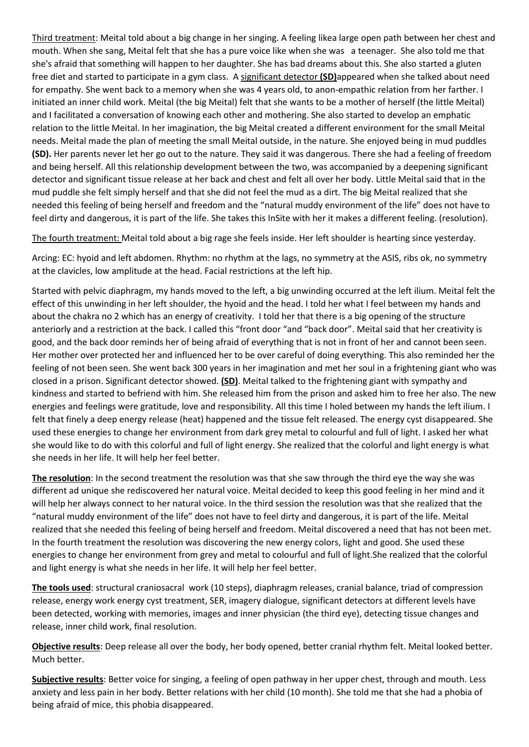Third treatment: Meital told about a big change in her singing. A feeling likea large open path between her chest and mouth. When she sang, Meital felt that she has a pure voice like when she was a teenager. She also told me that she's afraid that something will happen to her daughter. She has bad dreams about this. She also started a gluten free diet and started to participate in a gym class. A significant detector **(SD)**appeared when she talked about need for empathy. She went back to a memory when she was 4 years old, to anon-empathic relation from her farther. I initiated an inner child work. Meital (the big Meital) felt that she wants to be a mother of herself (the little Meital) and I facilitated a conversation of knowing each other and mothering. She also started to develop an emphatic relation to the little Meital. In her imagination, the big Meital created a different environment for the small Meital needs. Meital made the plan of meeting the small Meital outside, in the nature. She enjoyed being in mud puddles **(SD).** Her parents never let her go out to the nature. They said it was dangerous. There she had a feeling of freedom and being herself. All this relationship development between the two, was accompanied by a deepening significant detector and significant tissue release at her back and chest and felt all over her body. Little Meital said that in the mud puddle she felt simply herself and that she did not feel the mud as a dirt. The big Meital realized that she needed this feeling of being herself and freedom and the "natural muddy environment of the life" does not have to feel dirty and dangerous, it is part of the life. She takes this InSite with her it makes a different feeling. (resolution).

The fourth treatment: Meital told about a big rage she feels inside. Her left shoulder is hearting since yesterday.

Arcing: EC: hyoid and left abdomen. Rhythm: no rhythm at the lags, no symmetry at the ASIS, ribs ok, no symmetry at the clavicles, low amplitude at the head. Facial restrictions at the left hip.

Started with pelvic diaphragm, my hands moved to the left, a big unwinding occurred at the left ilium. Meital felt the effect of this unwinding in her left shoulder, the hyoid and the head. I told her what I feel between my hands and about the chakra no 2 which has an energy of creativity. I told her that there is a big opening of the structure anteriorly and a restriction at the back. I called this "front door "and "back door". Meital said that her creativity is good, and the back door reminds her of being afraid of everything that is not in front of her and cannot been seen. Her mother over protected her and influenced her to be over careful of doing everything. This also reminded her the feeling of not been seen. She went back 300 years in her imagination and met her soul in a frightening giant who was closed in a prison. Significant detector showed. **(SD)**. Meital talked to the frightening giant with sympathy and kindness and started to befriend with him. She released him from the prison and asked him to free her also. The new energies and feelings were gratitude, love and responsibility. All this time I holed between my hands the left ilium. I felt that finely a deep energy release (heat) happened and the tissue felt released. The energy cyst disappeared. She used these energies to change her environment from dark grey metal to colourful and full of light. I asked her what she would like to do with this colorful and full of light energy. She realized that the colorful and light energy is what she needs in her life. It will help her feel better.

**The resolution**: In the second treatment the resolution was that she saw through the third eye the way she was different ad unique she rediscovered her natural voice. Meital decided to keep this good feeling in her mind and it will help her always connect to her natural voice. In the third session the resolution was that she realized that the "natural muddy environment of the life" does not have to feel dirty and dangerous, it is part of the life. Meital realized that she needed this feeling of being herself and freedom. Meital discovered a need that has not been met. In the fourth treatment the resolution was discovering the new energy colors, light and good. She used these energies to change her environment from grey and metal to colourful and full of light.She realized that the colorful and light energy is what she needs in her life. It will help her feel better.

**The tools used**: structural craniosacral work (10 steps), diaphragm releases, cranial balance, triad of compression release, energy work energy cyst treatment, SER, imagery dialogue, significant detectors at different levels have been detected, working with memories, images and inner physician (the third eye), detecting tissue changes and release, inner child work, final resolution.

**Objective results**: Deep release all over the body, her body opened, better cranial rhythm felt. Meital looked better. Much better.

**Subjective results**: Better voice for singing, a feeling of open pathway in her upper chest, through and mouth. Less anxiety and less pain in her body. Better relations with her child (10 month). She told me that she had a phobia of being afraid of mice, this phobia disappeared.